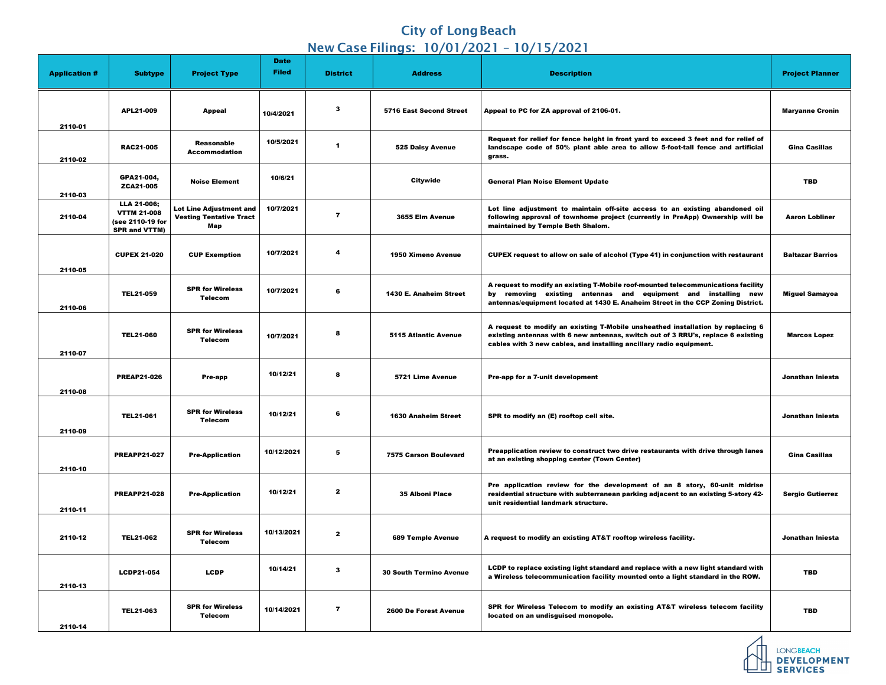## **City of Long Beach** New Case Filings: 10/01/2021 – 10/15/2021

| <b>Application #</b> | <b>Subtype</b>                                                                | <b>Project Type</b>                                                     | <b>Date</b><br><b>Filed</b> | <b>District</b> | <b>Address</b>                 | <b>Description</b>                                                                                                                                                                                                                         | <b>Project Planner</b>  |
|----------------------|-------------------------------------------------------------------------------|-------------------------------------------------------------------------|-----------------------------|-----------------|--------------------------------|--------------------------------------------------------------------------------------------------------------------------------------------------------------------------------------------------------------------------------------------|-------------------------|
| 2110-01              | APL21-009                                                                     | <b>Appeal</b>                                                           | 10/4/2021                   | $\mathbf{3}$    | <b>5716 East Second Street</b> | Appeal to PC for ZA approval of 2106-01.                                                                                                                                                                                                   | <b>Maryanne Cronin</b>  |
| 2110-02              | <b>RAC21-005</b>                                                              | <b>Reasonable</b><br><b>Accommodation</b>                               | 10/5/2021                   | 1               | <b>525 Daisy Avenue</b>        | Request for relief for fence height in front yard to exceed 3 feet and for relief of<br>landscape code of 50% plant able area to allow 5-foot-tall fence and artificial<br>grass.                                                          | <b>Gina Casillas</b>    |
| 2110-03              | GPA21-004,<br>ZCA21-005                                                       | <b>Noise Element</b>                                                    | 10/6/21                     |                 | <b>Citywide</b>                | <b>General Plan Noise Element Update</b>                                                                                                                                                                                                   | <b>TBD</b>              |
| 2110-04              | LLA 21-006;<br><b>VTTM 21-008</b><br>(see 2110-19 for<br><b>SPR and VTTM)</b> | <b>Lot Line Adjustment and</b><br><b>Vesting Tentative Tract</b><br>Мар | 10/7/2021                   | 7               | 3655 Elm Avenue                | Lot line adjustment to maintain off-site access to an existing abandoned oil<br>following approval of townhome project (currently in PreApp) Ownership will be<br>maintained by Temple Beth Shalom.                                        | <b>Aaron Lobliner</b>   |
| 2110-05              | <b>CUPEX 21-020</b>                                                           | <b>CUP Exemption</b>                                                    | 10/7/2021                   | 4               | <b>1950 Ximeno Avenue</b>      | CUPEX request to allow on sale of alcohol (Type 41) in conjunction with restaurant                                                                                                                                                         | <b>Baltazar Barrios</b> |
| 2110-06              | <b>TEL21-059</b>                                                              | <b>SPR for Wireless</b><br><b>Telecom</b>                               | 10/7/2021                   | $6\phantom{1}6$ | <b>1430 E. Anaheim Street</b>  | A request to modify an existing T-Mobile roof-mounted telecommunications facility<br>by removing existing antennas and equipment and installing new<br>antennas/equipment located at 1430 E. Anaheim Street in the CCP Zoning District.    | <b>Miguel Samayoa</b>   |
| 2110-07              | <b>TEL21-060</b>                                                              | <b>SPR for Wireless</b><br><b>Telecom</b>                               | 10/7/2021                   | 8               | <b>5115 Atlantic Avenue</b>    | A request to modify an existing T-Mobile unsheathed installation by replacing 6<br>existing antennas with 6 new antennas, switch out of 3 RRU's, replace 6 existing<br>cables with 3 new cables, and installing ancillary radio equipment. | <b>Marcos Lopez</b>     |
| 2110-08              | <b>PREAP21-026</b>                                                            | <b>Pre-app</b>                                                          | 10/12/21                    | 8               | 5721 Lime Avenue               | Pre-app for a 7-unit development                                                                                                                                                                                                           | Jonathan Iniesta        |
| 2110-09              | <b>TEL21-061</b>                                                              | <b>SPR for Wireless</b><br><b>Telecom</b>                               | 10/12/21                    | 6               | <b>1630 Anaheim Street</b>     | SPR to modify an (E) rooftop cell site.                                                                                                                                                                                                    | Jonathan Iniesta        |
| 2110-10              | <b>PREAPP21-027</b>                                                           | <b>Pre-Application</b>                                                  | 10/12/2021                  | 5               | <b>7575 Carson Boulevard</b>   | Preapplication review to construct two drive restaurants with drive through lanes<br>at an existing shopping center (Town Center)                                                                                                          | <b>Gina Casillas</b>    |
| 2110-11              | <b>PREAPP21-028</b>                                                           | <b>Pre-Application</b>                                                  | 10/12/21                    | $\mathbf{2}$    | <b>35 Alboni Place</b>         | Pre application review for the development of an 8 story, 60-unit midrise<br>residential structure with subterranean parking adjacent to an existing 5-story 42-<br>unit residential landmark structure.                                   | <b>Sergio Gutierrez</b> |
| 2110-12              | <b>TEL21-062</b>                                                              | <b>SPR for Wireless</b><br><b>Telecom</b>                               | 10/13/2021                  | $\mathbf{2}$    | <b>689 Temple Avenue</b>       | A request to modify an existing AT&T rooftop wireless facility.                                                                                                                                                                            | Jonathan Iniesta        |
| 2110-13              | <b>LCDP21-054</b>                                                             | <b>LCDP</b>                                                             | 10/14/21                    | $\mathbf{3}$    | <b>30 South Termino Avenue</b> | LCDP to replace existing light standard and replace with a new light standard with<br>a Wireless telecommunication facility mounted onto a light standard in the ROW.                                                                      | <b>TBD</b>              |
| 2110-14              | <b>TEL21-063</b>                                                              | <b>SPR for Wireless</b><br><b>Telecom</b>                               | 10/14/2021                  | $\overline{7}$  | <b>2600 De Forest Avenue</b>   | SPR for Wireless Telecom to modify an existing AT&T wireless telecom facility<br>located on an undisguised monopole.                                                                                                                       | <b>TBD</b>              |



DEVELOPMENT